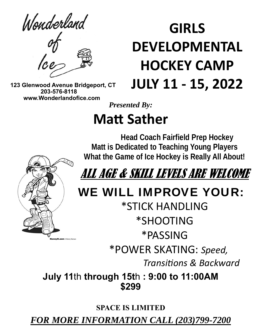Wonderland

**GIRLS DEVELOPMENTAL HOCKEY CAMP JULY 11 ‐ 15, 2022** 

 **123 Glenwood Avenue Bridgeport, CT 203-576-8118 www.Wonderlandofice.com**

## *Presented By:*

# **Matt Sather**

 **Head Coach Fairfield Prep Hockey Matt is Dedicated to Teaching Young Players What the Game of Ice Hockey is Really All About!** 



WE WILL IMPROVE YOUR:

\*STICK HANDLING \*SHOOTING \*PASSING \*POWER SKATING: *Speed, TransiƟons & Backward* 

**July 11**th **through 15t**h **: 9:00 to 11:00AM \$299** 

**SPACE IS LIMITED** 

*FOR MORE INFORMATION CALL (203)799-7200*

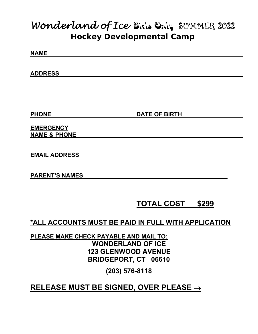## *Wonderland of Ice*Girls OnlySUMMER 2022 **Hockey Developmental Camp**

**NAME** 

**ADDRESS** 

**PHONE** DATE OF BIRTH

**EMERGENCY NAME & PHONE** 

**EMAIL ADDRESS** 

**PARENT'S NAMES** 

### **TOTAL COST \$299**

**\*ALL ACCOUNTS MUST BE PAID IN FULL WITH APPLICATION** 

**PLEASE MAKE CHECK PAYABLE AND MAIL TO: WONDERLAND OF ICE 123 GLENWOOD AVENUE BRIDGEPORT, CT 06610** 

**(203) 576-8118** 

**RELEASE MUST BE SIGNED, OVER PLEASE**